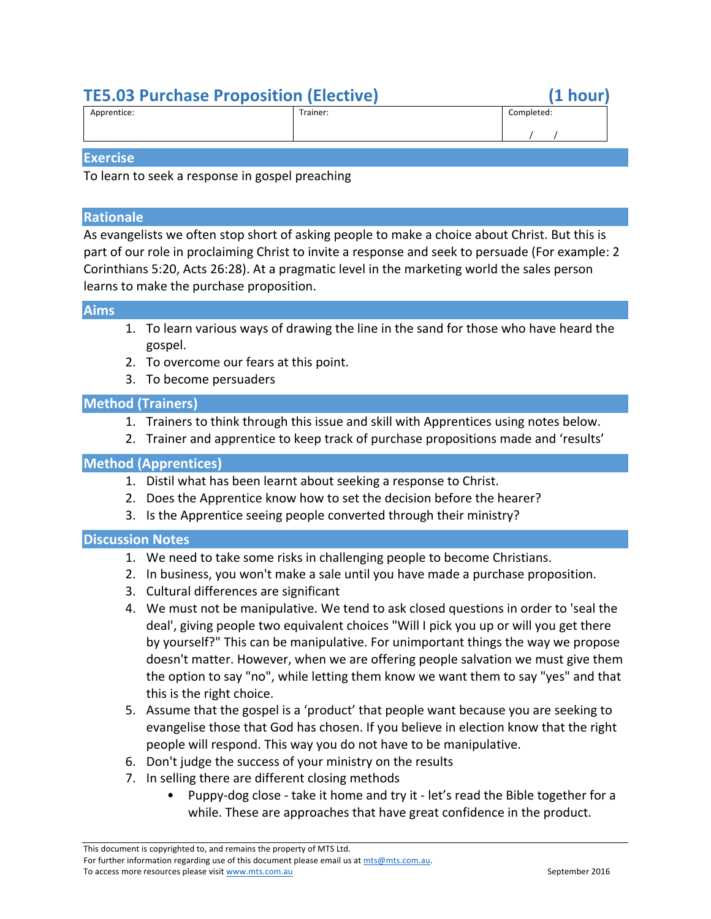# **TE5.03 Purchase Proposition (Elective) (1 hour)**

| Apprentice: | Trainer: | Completed: |
|-------------|----------|------------|
|             |          |            |

#### **Exercise**

To learn to seek a response in gospel preaching

## **Rationale**

As evangelists we often stop short of asking people to make a choice about Christ. But this is part of our role in proclaiming Christ to invite a response and seek to persuade (For example: 2) Corinthians 5:20, Acts 26:28). At a pragmatic level in the marketing world the sales person learns to make the purchase proposition.

#### **Aims**

- 1. To learn various ways of drawing the line in the sand for those who have heard the gospel.
- 2. To overcome our fears at this point.
- 3. To become persuaders

# **Method (Trainers)**

- 1. Trainers to think through this issue and skill with Apprentices using notes below.
- 2. Trainer and apprentice to keep track of purchase propositions made and 'results'

# **Method (Apprentices)**

- 1. Distil what has been learnt about seeking a response to Christ.
- 2. Does the Apprentice know how to set the decision before the hearer?
- 3. Is the Apprentice seeing people converted through their ministry?

## **Discussion Notes**

- 1. We need to take some risks in challenging people to become Christians.
- 2. In business, you won't make a sale until you have made a purchase proposition.
- 3. Cultural differences are significant
- 4. We must not be manipulative. We tend to ask closed questions in order to 'seal the deal', giving people two equivalent choices "Will I pick you up or will you get there by yourself?" This can be manipulative. For unimportant things the way we propose doesn't matter. However, when we are offering people salvation we must give them the option to say "no", while letting them know we want them to say "yes" and that this is the right choice.
- 5. Assume that the gospel is a 'product' that people want because you are seeking to evangelise those that God has chosen. If you believe in election know that the right people will respond. This way you do not have to be manipulative.
- 6. Don't judge the success of your ministry on the results
- 7. In selling there are different closing methods
	- Puppy-dog close take it home and try it let's read the Bible together for a while. These are approaches that have great confidence in the product.